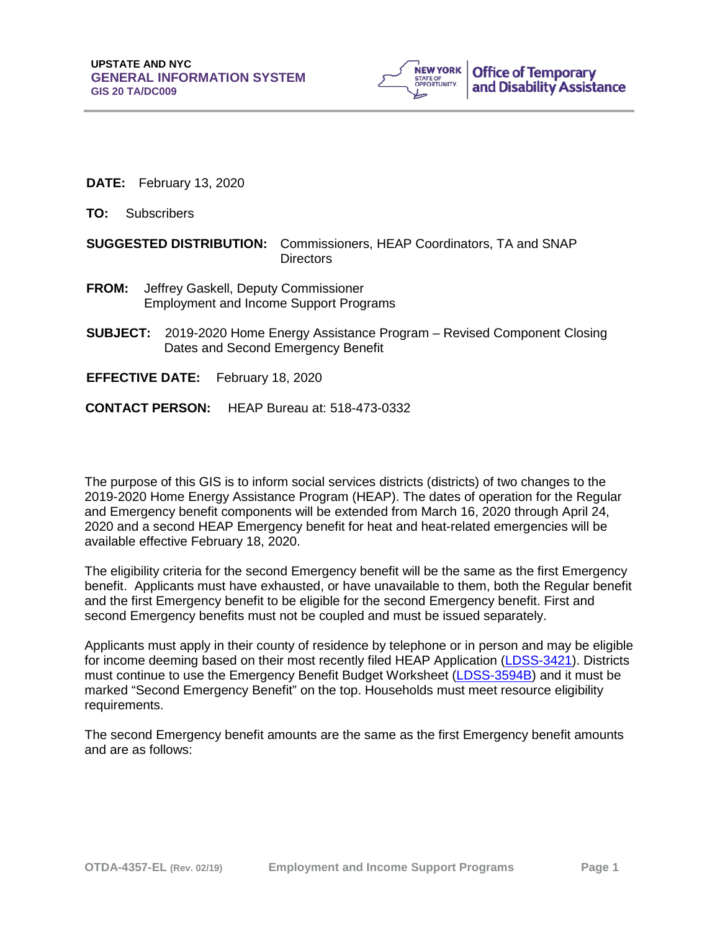

- **DATE:** February 13, 2020
- **TO:** Subscribers

## **SUGGESTED DISTRIBUTION:** Commissioners, HEAP Coordinators, TA and SNAP **Directors**

- **FROM:** Jeffrey Gaskell, Deputy Commissioner Employment and Income Support Programs
- **SUBJECT:** 2019-2020 Home Energy Assistance Program Revised Component Closing Dates and Second Emergency Benefit
- **EFFECTIVE DATE:** February 18, 2020
- **CONTACT PERSON:** HEAP Bureau at: 518-473-0332

The purpose of this GIS is to inform social services districts (districts) of two changes to the 2019-2020 Home Energy Assistance Program (HEAP). The dates of operation for the Regular and Emergency benefit components will be extended from March 16, 2020 through April 24, 2020 and a second HEAP Emergency benefit for heat and heat-related emergencies will be available effective February 18, 2020.

The eligibility criteria for the second Emergency benefit will be the same as the first Emergency benefit. Applicants must have exhausted, or have unavailable to them, both the Regular benefit and the first Emergency benefit to be eligible for the second Emergency benefit. First and second Emergency benefits must not be coupled and must be issued separately.

Applicants must apply in their county of residence by telephone or in person and may be eligible for income deeming based on their most recently filed HEAP Application [\(LDSS-3421\)](http://otda.state.nyenet/ldss_eforms/eforms/3421.pdf). Districts must continue to use the Emergency Benefit Budget Worksheet [\(LDSS-3594B\)](http://otda.state.nyenet/ldss_eforms/eforms/3594B.pdf) and it must be marked "Second Emergency Benefit" on the top. Households must meet resource eligibility requirements.

The second Emergency benefit amounts are the same as the first Emergency benefit amounts and are as follows: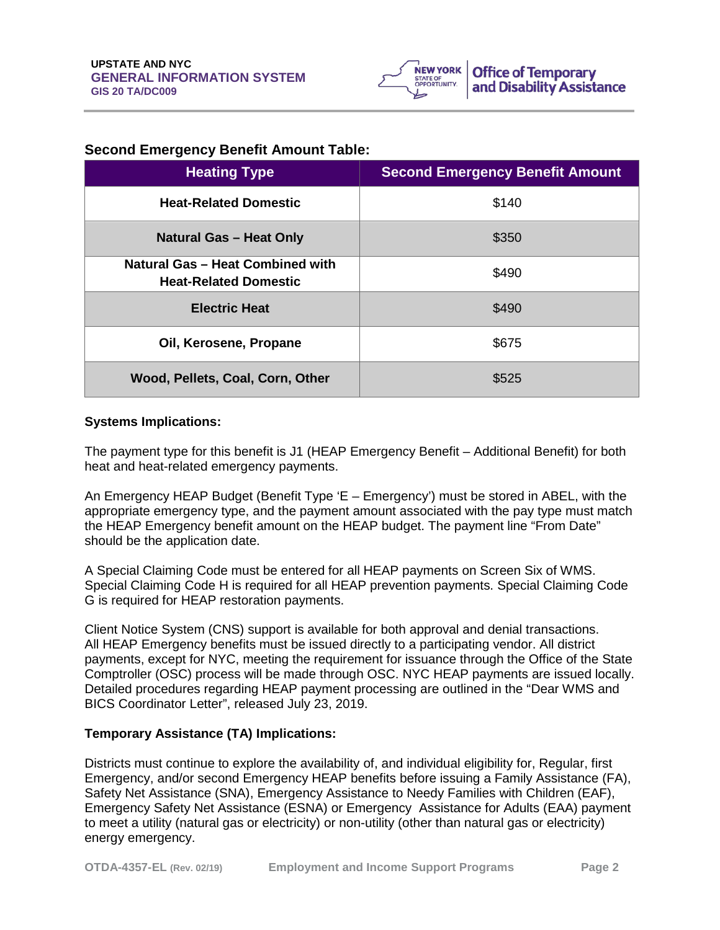

## **Second Emergency Benefit Amount Table:**

| <b>Heating Type</b>                                              | <b>Second Emergency Benefit Amount</b> |
|------------------------------------------------------------------|----------------------------------------|
| <b>Heat-Related Domestic</b>                                     | \$140                                  |
| <b>Natural Gas - Heat Only</b>                                   | \$350                                  |
| Natural Gas - Heat Combined with<br><b>Heat-Related Domestic</b> | \$490                                  |
| <b>Electric Heat</b>                                             | \$490                                  |
| Oil, Kerosene, Propane                                           | \$675                                  |
| Wood, Pellets, Coal, Corn, Other                                 | \$525                                  |

## **Systems Implications:**

The payment type for this benefit is J1 (HEAP Emergency Benefit – Additional Benefit) for both heat and heat-related emergency payments.

An Emergency HEAP Budget (Benefit Type 'E – Emergency') must be stored in ABEL, with the appropriate emergency type, and the payment amount associated with the pay type must match the HEAP Emergency benefit amount on the HEAP budget. The payment line "From Date" should be the application date.

A Special Claiming Code must be entered for all HEAP payments on Screen Six of WMS. Special Claiming Code H is required for all HEAP prevention payments. Special Claiming Code G is required for HEAP restoration payments.

Client Notice System (CNS) support is available for both approval and denial transactions. All HEAP Emergency benefits must be issued directly to a participating vendor. All district payments, except for NYC, meeting the requirement for issuance through the Office of the State Comptroller (OSC) process will be made through OSC. NYC HEAP payments are issued locally. Detailed procedures regarding HEAP payment processing are outlined in the "Dear WMS and BICS Coordinator Letter", released July 23, 2019.

## **Temporary Assistance (TA) Implications:**

Districts must continue to explore the availability of, and individual eligibility for, Regular, first Emergency, and/or second Emergency HEAP benefits before issuing a Family Assistance (FA), Safety Net Assistance (SNA), Emergency Assistance to Needy Families with Children (EAF), Emergency Safety Net Assistance (ESNA) or Emergency Assistance for Adults (EAA) payment to meet a utility (natural gas or electricity) or non-utility (other than natural gas or electricity) energy emergency.